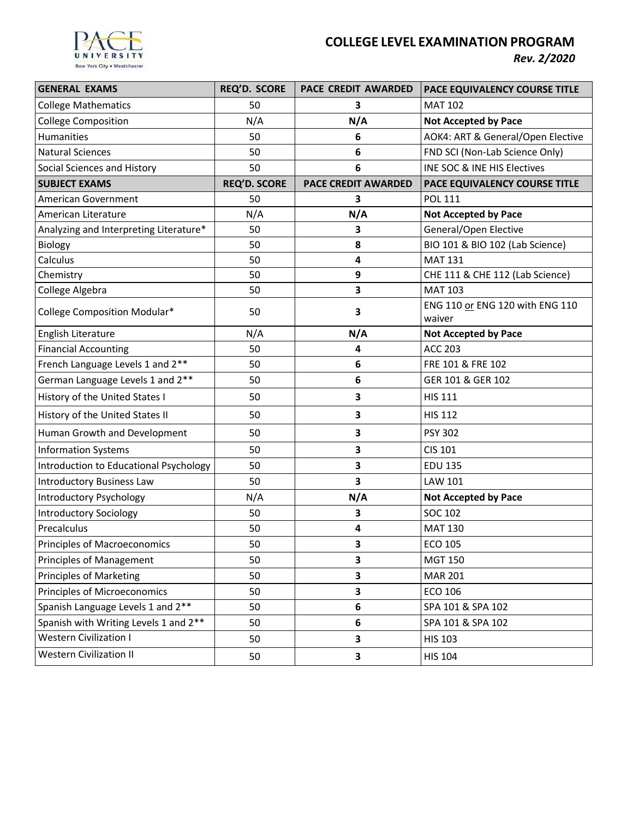

# **COLLEGE LEVEL EXAMINATION PROGRAM**

*Rev. 2/2020*

| <b>GENERAL EXAMS</b>                   | <b>REQ'D. SCORE</b> | <b>PACE CREDIT AWARDED</b> | <b>PACE EQUIVALENCY COURSE TITLE</b>      |
|----------------------------------------|---------------------|----------------------------|-------------------------------------------|
| <b>College Mathematics</b>             | 50                  | 3                          | <b>MAT 102</b>                            |
| <b>College Composition</b>             | N/A                 | N/A                        | <b>Not Accepted by Pace</b>               |
| Humanities                             | 50                  | 6                          | AOK4: ART & General/Open Elective         |
| <b>Natural Sciences</b>                | 50                  | 6                          | FND SCI (Non-Lab Science Only)            |
| Social Sciences and History            | 50                  | 6                          | INE SOC & INE HIS Electives               |
| <b>SUBJECT EXAMS</b>                   | <b>REQ'D. SCORE</b> | <b>PACE CREDIT AWARDED</b> | PACE EQUIVALENCY COURSE TITLE             |
| American Government                    | 50                  | 3                          | <b>POL 111</b>                            |
| American Literature                    | N/A                 | N/A                        | <b>Not Accepted by Pace</b>               |
| Analyzing and Interpreting Literature* | 50                  | 3                          | General/Open Elective                     |
| Biology                                | 50                  | 8                          | BIO 101 & BIO 102 (Lab Science)           |
| Calculus                               | 50                  | 4                          | <b>MAT 131</b>                            |
| Chemistry                              | 50                  | 9                          | CHE 111 & CHE 112 (Lab Science)           |
| College Algebra                        | 50                  | 3                          | <b>MAT 103</b>                            |
| College Composition Modular*           | 50                  | 3                          | ENG 110 or ENG 120 with ENG 110<br>waiver |
| English Literature                     | N/A                 | N/A                        | <b>Not Accepted by Pace</b>               |
| <b>Financial Accounting</b>            | 50                  | 4                          | <b>ACC 203</b>                            |
| French Language Levels 1 and 2**       | 50                  | 6                          | FRE 101 & FRE 102                         |
| German Language Levels 1 and 2**       | 50                  | 6                          | GER 101 & GER 102                         |
| History of the United States I         | 50                  | 3                          | <b>HIS 111</b>                            |
| History of the United States II        | 50                  | 3                          | <b>HIS 112</b>                            |
| Human Growth and Development           | 50                  | 3                          | <b>PSY 302</b>                            |
| <b>Information Systems</b>             | 50                  | 3                          | CIS 101                                   |
| Introduction to Educational Psychology | 50                  | 3                          | <b>EDU 135</b>                            |
| Introductory Business Law              | 50                  | 3                          | LAW 101                                   |
| <b>Introductory Psychology</b>         | N/A                 | N/A                        | Not Accepted by Pace                      |
| <b>Introductory Sociology</b>          | 50                  | 3                          | <b>SOC 102</b>                            |
| Precalculus                            | 50                  | 4                          | <b>MAT 130</b>                            |
| Principles of Macroeconomics           | 50                  | 3                          | ECO 105                                   |
| Principles of Management               | 50                  | 3                          | <b>MGT 150</b>                            |
| <b>Principles of Marketing</b>         | 50                  | 3                          | <b>MAR 201</b>                            |
| <b>Principles of Microeconomics</b>    | 50                  | 3                          | ECO 106                                   |
| Spanish Language Levels 1 and 2**      | 50                  | 6                          | SPA 101 & SPA 102                         |
| Spanish with Writing Levels 1 and 2**  | 50                  | 6                          | SPA 101 & SPA 102                         |
| <b>Western Civilization I</b>          | 50                  | 3                          | <b>HIS 103</b>                            |
| <b>Western Civilization II</b>         | 50                  | 3                          | <b>HIS 104</b>                            |